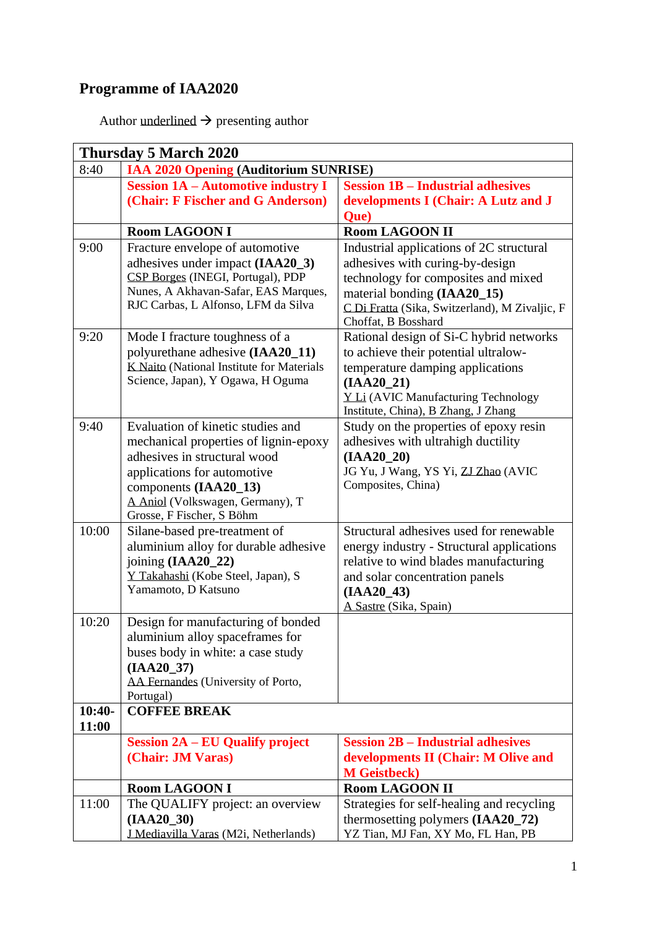## **Programme of IAA2020**

Author underlined  $\rightarrow$  presenting author

| <b>Thursday 5 March 2020</b> |                                                                       |                                                |
|------------------------------|-----------------------------------------------------------------------|------------------------------------------------|
| 8:40                         | IAA 2020 Opening (Auditorium SUNRISE)                                 |                                                |
|                              | <b>Session 1A - Automotive industry I</b>                             | <b>Session 1B - Industrial adhesives</b>       |
|                              | (Chair: F Fischer and G Anderson)                                     | developments I (Chair: A Lutz and J            |
|                              |                                                                       | Que)                                           |
|                              | <b>Room LAGOON I</b>                                                  | <b>Room LAGOON II</b>                          |
| 9:00                         | Fracture envelope of automotive                                       | Industrial applications of 2C structural       |
|                              | adhesives under impact (IAA20_3)                                      | adhesives with curing-by-design                |
|                              | CSP Borges (INEGI, Portugal), PDP                                     | technology for composites and mixed            |
|                              | Nunes, A Akhavan-Safar, EAS Marques,                                  | material bonding (IAA20_15)                    |
|                              | RJC Carbas, L Alfonso, LFM da Silva                                   | C Di Fratta (Sika, Switzerland), M Zivaljic, F |
|                              |                                                                       | Choffat, B Bosshard                            |
| 9:20                         | Mode I fracture toughness of a                                        | Rational design of Si-C hybrid networks        |
|                              | polyurethane adhesive (IAA20_11)                                      | to achieve their potential ultralow-           |
|                              | K Naito (National Institute for Materials                             | temperature damping applications               |
|                              | Science, Japan), Y Ogawa, H Oguma                                     | (IAA20 21)                                     |
|                              |                                                                       | <b>YLi (AVIC Manufacturing Technology</b>      |
|                              |                                                                       | Institute, China), B Zhang, J Zhang            |
| 9:40                         | Evaluation of kinetic studies and                                     | Study on the properties of epoxy resin         |
|                              | mechanical properties of lignin-epoxy                                 | adhesives with ultrahigh ductility             |
|                              | adhesives in structural wood                                          | $(IAA20_20)$                                   |
|                              | applications for automotive                                           | JG Yu, J Wang, YS Yi, ZJ Zhao (AVIC            |
|                              | components (IAA20_13)                                                 | Composites, China)                             |
|                              | A Aniol (Volkswagen, Germany), T                                      |                                                |
| 10:00                        | Grosse, F Fischer, S Böhm                                             | Structural adhesives used for renewable        |
|                              | Silane-based pre-treatment of<br>aluminium alloy for durable adhesive | energy industry - Structural applications      |
|                              | joining $(IAA20_22)$                                                  | relative to wind blades manufacturing          |
|                              | Y Takahashi (Kobe Steel, Japan), S                                    | and solar concentration panels                 |
|                              | Yamamoto, D Katsuno                                                   | (IAA20 43)                                     |
|                              |                                                                       | A Sastre (Sika, Spain)                         |
| 10:20                        | Design for manufacturing of bonded                                    |                                                |
|                              | aluminium alloy spaceframes for                                       |                                                |
|                              | buses body in white: a case study                                     |                                                |
|                              | (IAA20 37)                                                            |                                                |
|                              | AA Fernandes (University of Porto,                                    |                                                |
|                              | Portugal)                                                             |                                                |
| $10:40-$                     | <b>COFFEE BREAK</b>                                                   |                                                |
| 11:00                        |                                                                       |                                                |
|                              | <b>Session 2A – EU Qualify project</b>                                | <b>Session 2B – Industrial adhesives</b>       |
|                              | (Chair: JM Varas)                                                     | developments II (Chair: M Olive and            |
|                              |                                                                       | <b>M</b> Geistbeck)                            |
|                              | <b>Room LAGOON I</b>                                                  | <b>Room LAGOON II</b>                          |
| 11:00                        | The QUALIFY project: an overview                                      | Strategies for self-healing and recycling      |
|                              | $(IAA20_30)$                                                          | thermosetting polymers (IAA20_72)              |
|                              | J Mediavilla Varas (M2i, Netherlands)                                 | YZ Tian, MJ Fan, XY Mo, FL Han, PB             |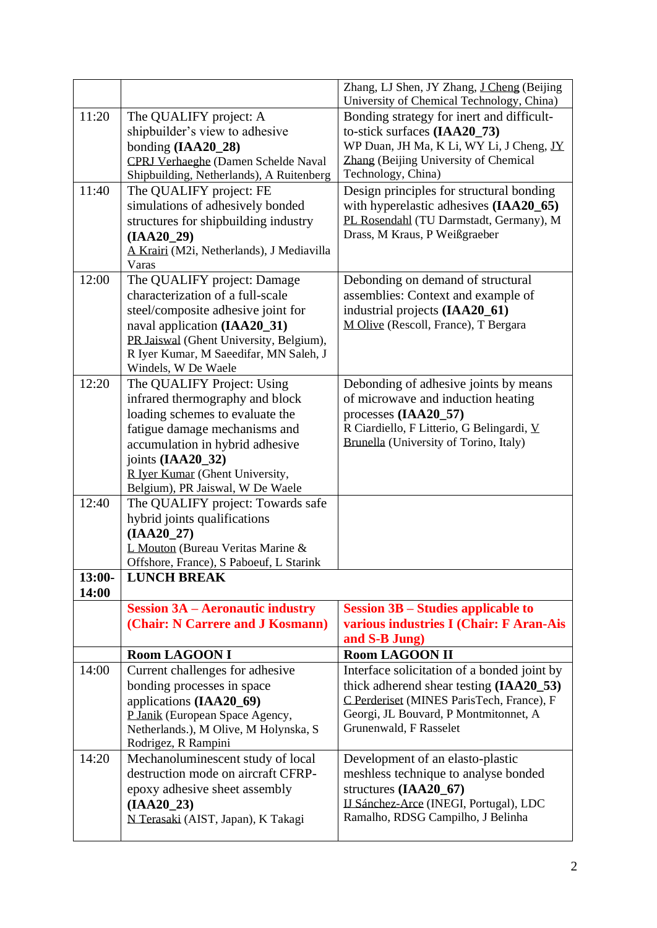|          |                                                                       | Zhang, LJ Shen, JY Zhang, J Cheng (Beijing<br>University of Chemical Technology, China) |
|----------|-----------------------------------------------------------------------|-----------------------------------------------------------------------------------------|
| 11:20    | The QUALIFY project: A                                                | Bonding strategy for inert and difficult-                                               |
|          | shipbuilder's view to adhesive                                        | to-stick surfaces (IAA20_73)                                                            |
|          | bonding $(IAA20_28)$                                                  | WP Duan, JH Ma, K Li, WY Li, J Cheng, IY                                                |
|          | CPRJ Verhaeghe (Damen Schelde Naval                                   | Zhang (Beijing University of Chemical                                                   |
|          | Shipbuilding, Netherlands), A Ruitenberg                              | Technology, China)                                                                      |
| 11:40    | The QUALIFY project: FE                                               | Design principles for structural bonding                                                |
|          | simulations of adhesively bonded                                      | with hyperelastic adhesives (IAA20_65)                                                  |
|          | structures for shipbuilding industry                                  | PL Rosendahl (TU Darmstadt, Germany), M                                                 |
|          | $(IAA20_29)$                                                          | Drass, M Kraus, P Weißgraeber                                                           |
|          | A Krairi (M2i, Netherlands), J Mediavilla                             |                                                                                         |
|          | Varas                                                                 |                                                                                         |
| 12:00    | The QUALIFY project: Damage<br>characterization of a full-scale       | Debonding on demand of structural                                                       |
|          |                                                                       | assemblies: Context and example of<br>industrial projects (IAA20_61)                    |
|          | steel/composite adhesive joint for<br>naval application (IAA20_31)    | M Olive (Rescoll, France), T Bergara                                                    |
|          | PR Jaiswal (Ghent University, Belgium),                               |                                                                                         |
|          | R Iyer Kumar, M Saeedifar, MN Saleh, J                                |                                                                                         |
|          | Windels, W De Waele                                                   |                                                                                         |
| 12:20    | The QUALIFY Project: Using                                            | Debonding of adhesive joints by means                                                   |
|          | infrared thermography and block                                       | of microwave and induction heating                                                      |
|          | loading schemes to evaluate the                                       | processes $(IAA20_57)$                                                                  |
|          | fatigue damage mechanisms and                                         | R Ciardiello, F Litterio, G Belingardi, V                                               |
|          | accumulation in hybrid adhesive                                       | Brunella (University of Torino, Italy)                                                  |
|          | joints (IAA20_32)                                                     |                                                                                         |
|          | R Iyer Kumar (Ghent University,                                       |                                                                                         |
| 12:40    | Belgium), PR Jaiswal, W De Waele<br>The QUALIFY project: Towards safe |                                                                                         |
|          | hybrid joints qualifications                                          |                                                                                         |
|          | $(IAA20_27)$                                                          |                                                                                         |
|          | L Mouton (Bureau Veritas Marine &                                     |                                                                                         |
|          | Offshore, France), S Paboeuf, L Starink                               |                                                                                         |
| $13:00-$ | <b>LUNCH BREAK</b>                                                    |                                                                                         |
| 14:00    |                                                                       |                                                                                         |
|          | <b>Session 3A – Aeronautic industry</b>                               | <b>Session 3B – Studies applicable to</b>                                               |
|          | (Chair: N Carrere and J Kosmann)                                      | various industries I (Chair: F Aran-Ais                                                 |
|          |                                                                       | and S-B Jung)                                                                           |
| 14:00    | <b>Room LAGOON I</b><br>Current challenges for adhesive               | <b>Room LAGOON II</b><br>Interface solicitation of a bonded joint by                    |
|          | bonding processes in space                                            | thick adherend shear testing (IAA20_53)                                                 |
|          | applications (IAA20_69)                                               | C Perderiset (MINES ParisTech, France), F                                               |
|          | P Janik (European Space Agency,                                       | Georgi, JL Bouvard, P Montmitonnet, A                                                   |
|          | Netherlands.), M Olive, M Holynska, S                                 | Grunenwald, F Rasselet                                                                  |
|          | Rodrigez, R Rampini                                                   |                                                                                         |
| 14:20    | Mechanoluminescent study of local                                     | Development of an elasto-plastic                                                        |
|          | destruction mode on aircraft CFRP-                                    | meshless technique to analyse bonded                                                    |
|          | epoxy adhesive sheet assembly                                         | structures (IAA20_67)                                                                   |
|          | $(IAA20_23)$                                                          | IJ Sánchez-Arce (INEGI, Portugal), LDC                                                  |
|          | N Terasaki (AIST, Japan), K Takagi                                    | Ramalho, RDSG Campilho, J Belinha                                                       |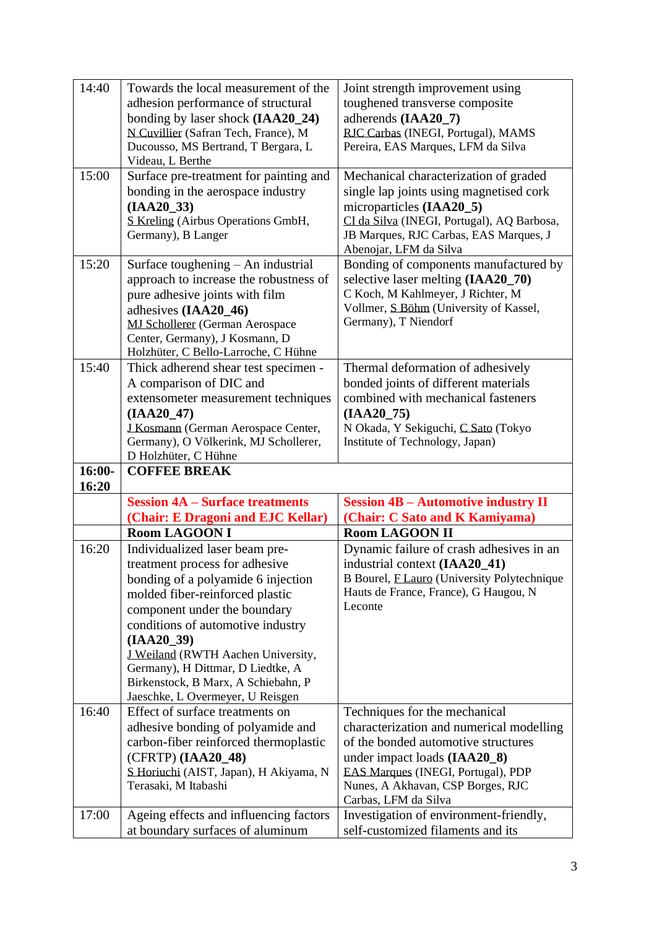| 14:40             | Towards the local measurement of the   | Joint strength improvement using                  |
|-------------------|----------------------------------------|---------------------------------------------------|
|                   | adhesion performance of structural     | toughened transverse composite                    |
|                   | bonding by laser shock (IAA20_24)      | adherends (IAA20_7)                               |
|                   | N Cuvillier (Safran Tech, France), M   | RJC Carbas (INEGI, Portugal), MAMS                |
|                   | Ducousso, MS Bertrand, T Bergara, L    | Pereira, EAS Marques, LFM da Silva                |
|                   | Videau, L Berthe                       |                                                   |
| 15:00             | Surface pre-treatment for painting and | Mechanical characterization of graded             |
|                   | bonding in the aerospace industry      | single lap joints using magnetised cork           |
|                   | $(IAA20_33)$                           | microparticles (IAA20_5)                          |
|                   | S Kreling (Airbus Operations GmbH,     | CI da Silva (INEGI, Portugal), AQ Barbosa,        |
|                   | Germany), B Langer                     | JB Marques, RJC Carbas, EAS Marques, J            |
|                   |                                        | Abenojar, LFM da Silva                            |
| 15:20             | Surface toughening - An industrial     | Bonding of components manufactured by             |
|                   | approach to increase the robustness of | selective laser melting (IAA20_70)                |
|                   | pure adhesive joints with film         | C Koch, M Kahlmeyer, J Richter, M                 |
|                   | adhesives (IAA20_46)                   | Vollmer, S. Böhm (University of Kassel,           |
|                   | <b>MJ Schollerer</b> (German Aerospace | Germany), T Niendorf                              |
|                   | Center, Germany), J Kosmann, D         |                                                   |
|                   | Holzhüter, C Bello-Larroche, C Hühne   |                                                   |
| 15:40             | Thick adherend shear test specimen -   | Thermal deformation of adhesively                 |
|                   | A comparison of DIC and                | bonded joints of different materials              |
|                   | extensometer measurement techniques    | combined with mechanical fasteners                |
|                   | $(IAA20_47)$                           | $(IAA20_75)$                                      |
|                   | J Kosmann (German Aerospace Center,    | N Okada, Y Sekiguchi, C Sato (Tokyo               |
|                   | Germany), O Völkerink, MJ Schollerer,  | Institute of Technology, Japan)                   |
|                   | D Holzhüter, C Hühne                   |                                                   |
|                   |                                        |                                                   |
| $16:00-$<br>16:20 | <b>COFFEE BREAK</b>                    |                                                   |
|                   | <b>Session 4A – Surface treatments</b> | <b>Session 4B - Automotive industry II</b>        |
|                   | (Chair: E Dragoni and EJC Kellar)      | (Chair: C Sato and K Kamiyama)                    |
|                   | <b>Room LAGOON I</b>                   | <b>Room LAGOON II</b>                             |
| 16:20             | Individualized laser beam pre-         | Dynamic failure of crash adhesives in an          |
|                   | treatment process for adhesive         | industrial context (IAA20_41)                     |
|                   | bonding of a polyamide 6 injection     | B Bourel, <b>FLauro</b> (University Polytechnique |
|                   | molded fiber-reinforced plastic        | Hauts de France, France), G Haugou, N             |
|                   | component under the boundary           | Leconte                                           |
|                   | conditions of automotive industry      |                                                   |
|                   | $(IAA20_39)$                           |                                                   |
|                   | J Weiland (RWTH Aachen University,     |                                                   |
|                   | Germany), H Dittmar, D Liedtke, A      |                                                   |
|                   | Birkenstock, B Marx, A Schiebahn, P    |                                                   |
|                   | Jaeschke, L Overmeyer, U Reisgen       |                                                   |
| 16:40             | Effect of surface treatments on        | Techniques for the mechanical                     |
|                   | adhesive bonding of polyamide and      | characterization and numerical modelling          |
|                   | carbon-fiber reinforced thermoplastic  | of the bonded automotive structures               |
|                   | (CFRTP) (IAA20_48)                     | under impact loads (IAA20_8)                      |
|                   | S Horiuchi (AIST, Japan), H Akiyama, N | EAS Marques (INEGI, Portugal), PDP                |
|                   | Terasaki, M Itabashi                   | Nunes, A Akhavan, CSP Borges, RJC                 |
|                   |                                        | Carbas, LFM da Silva                              |
| 17:00             | Ageing effects and influencing factors | Investigation of environment-friendly,            |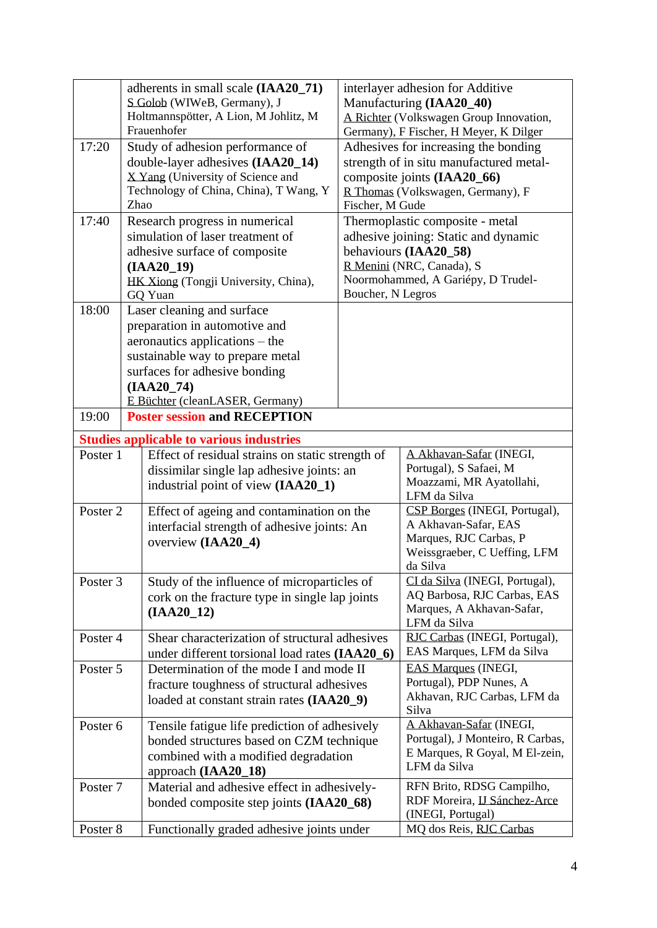|          | adherents in small scale (IAA20_71)                                         |                                           | interlayer adhesion for Additive                          |
|----------|-----------------------------------------------------------------------------|-------------------------------------------|-----------------------------------------------------------|
|          | S Golob (WIWeB, Germany), J                                                 |                                           | Manufacturing (IAA20 40)                                  |
|          | Holtmannspötter, A Lion, M Johlitz, M<br>Frauenhofer                        |                                           | A Richter (Volkswagen Group Innovation,                   |
|          |                                                                             |                                           | Germany), F Fischer, H Meyer, K Dilger                    |
| 17:20    | Study of adhesion performance of                                            |                                           | Adhesives for increasing the bonding                      |
|          | double-layer adhesives (IAA20_14)                                           |                                           | strength of in situ manufactured metal-                   |
|          | X Yang (University of Science and<br>Technology of China, China), T Wang, Y |                                           | composite joints (IAA20_66)                               |
|          | Zhao                                                                        | Fischer, M Gude                           | R Thomas (Volkswagen, Germany), F                         |
| 17:40    | Research progress in numerical                                              |                                           | Thermoplastic composite - metal                           |
|          | simulation of laser treatment of                                            |                                           | adhesive joining: Static and dynamic                      |
|          | adhesive surface of composite                                               |                                           | behaviours (IAA20_58)                                     |
|          | $(IAA20_19)$                                                                |                                           | R Menini (NRC, Canada), S                                 |
|          | HK Xiong (Tongji University, China),                                        |                                           | Noormohammed, A Gariépy, D Trudel-                        |
|          | GQ Yuan                                                                     | Boucher, N Legros                         |                                                           |
| 18:00    | Laser cleaning and surface                                                  |                                           |                                                           |
|          | preparation in automotive and                                               |                                           |                                                           |
|          | aeronautics applications – the                                              |                                           |                                                           |
|          | sustainable way to prepare metal                                            |                                           |                                                           |
|          | surfaces for adhesive bonding                                               |                                           |                                                           |
|          | $(IAA20_74)$                                                                |                                           |                                                           |
|          | E Büchter (cleanLASER, Germany)                                             |                                           |                                                           |
| 19:00    | <b>Poster session and RECEPTION</b>                                         |                                           |                                                           |
|          | <b>Studies applicable to various industries</b>                             |                                           |                                                           |
| Poster 1 | Effect of residual strains on static strength of                            |                                           | A Akhavan-Safar (INEGI,                                   |
|          | dissimilar single lap adhesive joints: an                                   |                                           | Portugal), S Safaei, M                                    |
|          | industrial point of view (IAA20_1)                                          |                                           | Moazzami, MR Ayatollahi,<br>LFM da Silva                  |
| Poster 2 |                                                                             | Effect of ageing and contamination on the |                                                           |
|          | interfacial strength of adhesive joints: An                                 |                                           | A Akhavan-Safar, EAS                                      |
|          | overview (IAA20_4)                                                          |                                           | Marques, RJC Carbas, P                                    |
|          |                                                                             |                                           | Weissgraeber, C Ueffing, LFM                              |
|          |                                                                             |                                           | da Silva                                                  |
| Poster 3 | Study of the influence of microparticles of                                 |                                           | CI da Silva (INEGI, Portugal),                            |
|          | cork on the fracture type in single lap joints                              |                                           | AQ Barbosa, RJC Carbas, EAS<br>Marques, A Akhavan-Safar,  |
|          | $(IAA20_12)$                                                                |                                           | LFM da Silva                                              |
| Poster 4 | Shear characterization of structural adhesives                              |                                           | RJC Carbas (INEGI, Portugal),                             |
|          | under different torsional load rates (IAA20_6)                              |                                           | EAS Marques, LFM da Silva                                 |
| Poster 5 | Determination of the mode I and mode II                                     |                                           | <b>EAS Marques (INEGI,</b>                                |
|          | fracture toughness of structural adhesives                                  |                                           | Portugal), PDP Nunes, A                                   |
|          | loaded at constant strain rates (IAA20_9)                                   |                                           | Akhavan, RJC Carbas, LFM da                               |
|          |                                                                             |                                           | Silva                                                     |
| Poster 6 | Tensile fatigue life prediction of adhesively                               |                                           | A Akhavan-Safar (INEGI,                                   |
|          | bonded structures based on CZM technique                                    |                                           | Portugal), J Monteiro, R Carbas,                          |
|          | combined with a modified degradation                                        |                                           | E Marques, R Goyal, M El-zein,<br>LFM da Silva            |
|          | approach (IAA20_18)                                                         |                                           |                                                           |
| Poster 7 | Material and adhesive effect in adhesively-                                 |                                           | RFN Brito, RDSG Campilho,<br>RDF Moreira, IJ Sánchez-Arce |
|          | bonded composite step joints (IAA20_68)                                     |                                           | (INEGI, Portugal)                                         |
| Poster 8 | Functionally graded adhesive joints under                                   |                                           | MQ dos Reis, RJC Carbas                                   |
|          |                                                                             |                                           |                                                           |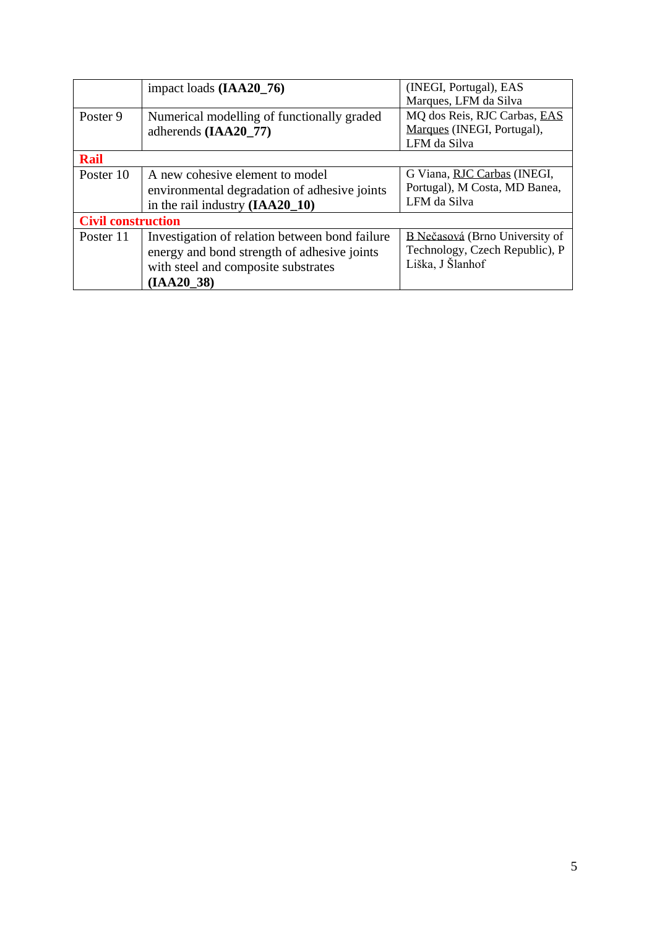|                           | impact loads (IAA20_76)                                                                                                                            | (INEGI, Portugal), EAS<br>Marques, LFM da Silva                                      |
|---------------------------|----------------------------------------------------------------------------------------------------------------------------------------------------|--------------------------------------------------------------------------------------|
| Poster 9                  | Numerical modelling of functionally graded<br>adherends (IAA20_77)                                                                                 | MQ dos Reis, RJC Carbas, EAS<br>Marques (INEGI, Portugal),<br>LFM da Silva           |
| <b>Rail</b>               |                                                                                                                                                    |                                                                                      |
| Poster 10                 | A new cohesive element to model<br>environmental degradation of adhesive joints<br>in the rail industry $(IAA20_10)$                               | G Viana, RJC Carbas (INEGI,<br>Portugal), M Costa, MD Banea,<br>LFM da Silva         |
| <b>Civil construction</b> |                                                                                                                                                    |                                                                                      |
| Poster 11                 | Investigation of relation between bond failure<br>energy and bond strength of adhesive joints<br>with steel and composite substrates<br>(IAA20 38) | B Nečasová (Brno University of<br>Technology, Czech Republic), P<br>Liška, J Šlanhof |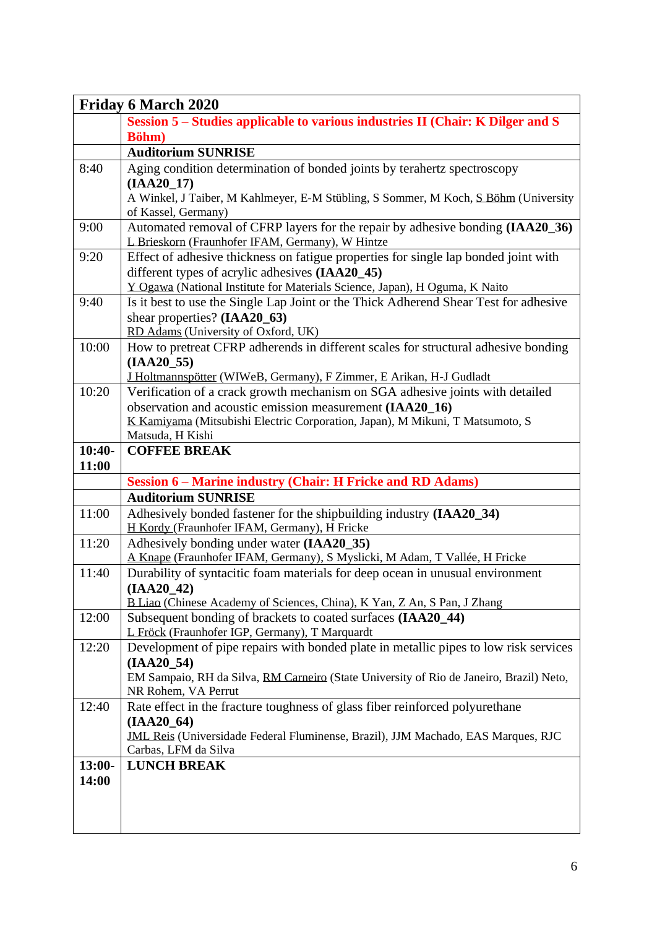| <b>Friday 6 March 2020</b> |                                                                                                                                                      |  |
|----------------------------|------------------------------------------------------------------------------------------------------------------------------------------------------|--|
|                            | Session 5 – Studies applicable to various industries II (Chair: K Dilger and S                                                                       |  |
|                            | Böhm)                                                                                                                                                |  |
|                            | <b>Auditorium SUNRISE</b>                                                                                                                            |  |
| 8:40                       | Aging condition determination of bonded joints by terahertz spectroscopy                                                                             |  |
|                            | $(IAA20_17)$                                                                                                                                         |  |
|                            | A Winkel, J Taiber, M Kahlmeyer, E-M Stübling, S Sommer, M Koch, S Böhm (University                                                                  |  |
| 9:00                       | of Kassel, Germany)                                                                                                                                  |  |
|                            | Automated removal of CFRP layers for the repair by adhesive bonding (IAA20_36)<br>L Brieskorn (Fraunhofer IFAM, Germany), W Hintze                   |  |
| 9:20                       | Effect of adhesive thickness on fatigue properties for single lap bonded joint with                                                                  |  |
|                            | different types of acrylic adhesives (IAA20_45)                                                                                                      |  |
|                            | Y Ogawa (National Institute for Materials Science, Japan), H Oguma, K Naito                                                                          |  |
| 9:40                       | Is it best to use the Single Lap Joint or the Thick Adherend Shear Test for adhesive                                                                 |  |
|                            | shear properties? (IAA20_63)                                                                                                                         |  |
|                            | RD Adams (University of Oxford, UK)                                                                                                                  |  |
| 10:00                      | How to pretreat CFRP adherends in different scales for structural adhesive bonding                                                                   |  |
|                            | $(IAA20_55)$                                                                                                                                         |  |
| 10:20                      | J Holtmannspötter (WIWeB, Germany), F Zimmer, E Arikan, H-J Gudladt<br>Verification of a crack growth mechanism on SGA adhesive joints with detailed |  |
|                            | observation and acoustic emission measurement (IAA20_16)                                                                                             |  |
|                            | K Kamiyama (Mitsubishi Electric Corporation, Japan), M Mikuni, T Matsumoto, S                                                                        |  |
|                            | Matsuda, H Kishi                                                                                                                                     |  |
| $10:40-$                   | <b>COFFEE BREAK</b>                                                                                                                                  |  |
| 11:00                      |                                                                                                                                                      |  |
|                            | <b>Session 6 – Marine industry (Chair: H Fricke and RD Adams)</b>                                                                                    |  |
|                            | <b>Auditorium SUNRISE</b>                                                                                                                            |  |
| 11:00                      | Adhesively bonded fastener for the shipbuilding industry (IAA20_34)                                                                                  |  |
|                            | H Kordy (Fraunhofer IFAM, Germany), H Fricke                                                                                                         |  |
| 11:20                      | Adhesively bonding under water (IAA20_35)                                                                                                            |  |
|                            | A Knape (Fraunhofer IFAM, Germany), S Myslicki, M Adam, T Vallée, H Fricke                                                                           |  |
| 11:40                      | Durability of syntacitic foam materials for deep ocean in unusual environment                                                                        |  |
|                            | $(IAA20_42)$<br>B Liao (Chinese Academy of Sciences, China), K Yan, Z An, S Pan, J Zhang                                                             |  |
| 12:00                      | Subsequent bonding of brackets to coated surfaces (IAA20_44)                                                                                         |  |
|                            | L Fröck (Fraunhofer IGP, Germany), T Marquardt                                                                                                       |  |
| 12:20                      | Development of pipe repairs with bonded plate in metallic pipes to low risk services                                                                 |  |
|                            | $(IAA20_54)$                                                                                                                                         |  |
|                            | EM Sampaio, RH da Silva, RM Carneiro (State University of Rio de Janeiro, Brazil) Neto,                                                              |  |
|                            | NR Rohem, VA Perrut                                                                                                                                  |  |
| 12:40                      | Rate effect in the fracture toughness of glass fiber reinforced polyurethane                                                                         |  |
|                            | $(IAA20_64)$                                                                                                                                         |  |
|                            | <b>JML Reis (Universidade Federal Fluminense, Brazil), JJM Machado, EAS Marques, RJC</b>                                                             |  |
|                            | Carbas, LFM da Silva                                                                                                                                 |  |
| $13:00-$                   | <b>LUNCH BREAK</b>                                                                                                                                   |  |
| 14:00                      |                                                                                                                                                      |  |
|                            |                                                                                                                                                      |  |
|                            |                                                                                                                                                      |  |
|                            |                                                                                                                                                      |  |